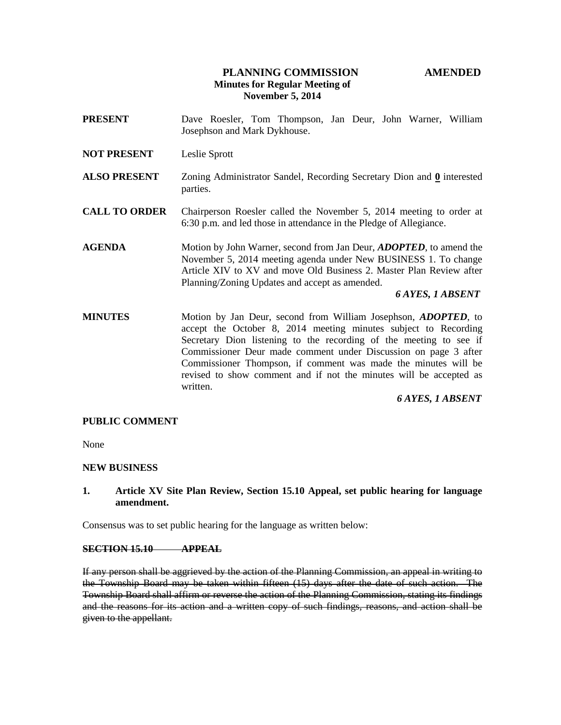# **PLANNING COMMISSION AMENDED Minutes for Regular Meeting of November 5, 2014**

- **PRESENT** Dave Roesler, Tom Thompson, Jan Deur, John Warner, William Josephson and Mark Dykhouse.
- **NOT PRESENT** Leslie Sprott
- **ALSO PRESENT** Zoning Administrator Sandel, Recording Secretary Dion and **0** interested parties.
- **CALL TO ORDER** Chairperson Roesler called the November 5, 2014 meeting to order at 6:30 p.m. and led those in attendance in the Pledge of Allegiance.
- **AGENDA** Motion by John Warner, second from Jan Deur, *ADOPTED*, to amend the November 5, 2014 meeting agenda under New BUSINESS 1. To change Article XIV to XV and move Old Business 2. Master Plan Review after Planning/Zoning Updates and accept as amended.

#### *6 AYES, 1 ABSENT*

**MINUTES** Motion by Jan Deur, second from William Josephson, *ADOPTED*, to accept the October 8, 2014 meeting minutes subject to Recording Secretary Dion listening to the recording of the meeting to see if Commissioner Deur made comment under Discussion on page 3 after Commissioner Thompson, if comment was made the minutes will be revised to show comment and if not the minutes will be accepted as written.

### *6 AYES, 1 ABSENT*

### **PUBLIC COMMENT**

None

### **NEW BUSINESS**

## **1. Article XV Site Plan Review, Section 15.10 Appeal, set public hearing for language amendment.**

Consensus was to set public hearing for the language as written below:

#### **SECTION 15.10 APPEAL**

If any person shall be aggrieved by the action of the Planning Commission, an appeal in writing to the Township Board may be taken within fifteen (15) days after the date of such action. The Township Board shall affirm or reverse the action of the Planning Commission, stating its findings and the reasons for its action and a written copy of such findings, reasons, and action shall be given to the appellant.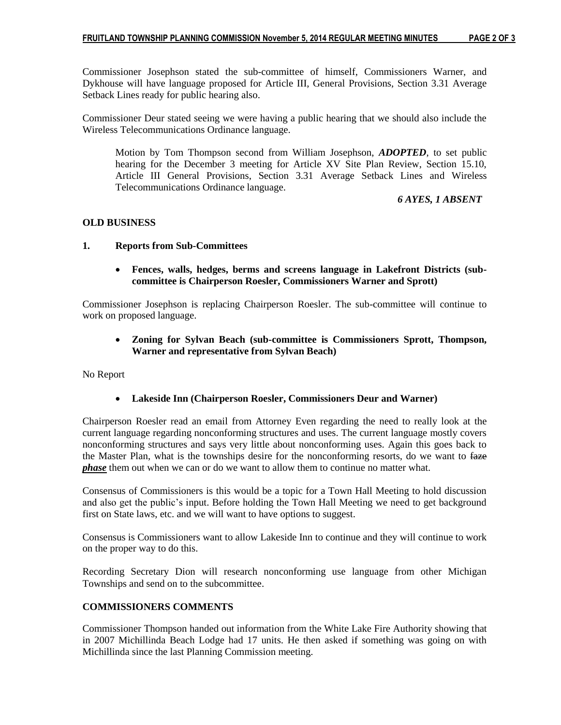Commissioner Josephson stated the sub-committee of himself, Commissioners Warner, and Dykhouse will have language proposed for Article III, General Provisions, Section 3.31 Average Setback Lines ready for public hearing also.

Commissioner Deur stated seeing we were having a public hearing that we should also include the Wireless Telecommunications Ordinance language.

Motion by Tom Thompson second from William Josephson, *ADOPTED*, to set public hearing for the December 3 meeting for Article XV Site Plan Review, Section 15.10, Article III General Provisions, Section 3.31 Average Setback Lines and Wireless Telecommunications Ordinance language.

 *6 AYES, 1 ABSENT*

## **OLD BUSINESS**

## **1. Reports from Sub-Committees**

 **Fences, walls, hedges, berms and screens language in Lakefront Districts (subcommittee is Chairperson Roesler, Commissioners Warner and Sprott)**

Commissioner Josephson is replacing Chairperson Roesler. The sub-committee will continue to work on proposed language.

# **Zoning for Sylvan Beach (sub-committee is Commissioners Sprott, Thompson, Warner and representative from Sylvan Beach)**

No Report

# **Lakeside Inn (Chairperson Roesler, Commissioners Deur and Warner)**

Chairperson Roesler read an email from Attorney Even regarding the need to really look at the current language regarding nonconforming structures and uses. The current language mostly covers nonconforming structures and says very little about nonconforming uses. Again this goes back to the Master Plan, what is the townships desire for the nonconforming resorts, do we want to faze *phase* them out when we can or do we want to allow them to continue no matter what.

Consensus of Commissioners is this would be a topic for a Town Hall Meeting to hold discussion and also get the public's input. Before holding the Town Hall Meeting we need to get background first on State laws, etc. and we will want to have options to suggest.

Consensus is Commissioners want to allow Lakeside Inn to continue and they will continue to work on the proper way to do this.

Recording Secretary Dion will research nonconforming use language from other Michigan Townships and send on to the subcommittee.

# **COMMISSIONERS COMMENTS**

Commissioner Thompson handed out information from the White Lake Fire Authority showing that in 2007 Michillinda Beach Lodge had 17 units. He then asked if something was going on with Michillinda since the last Planning Commission meeting.